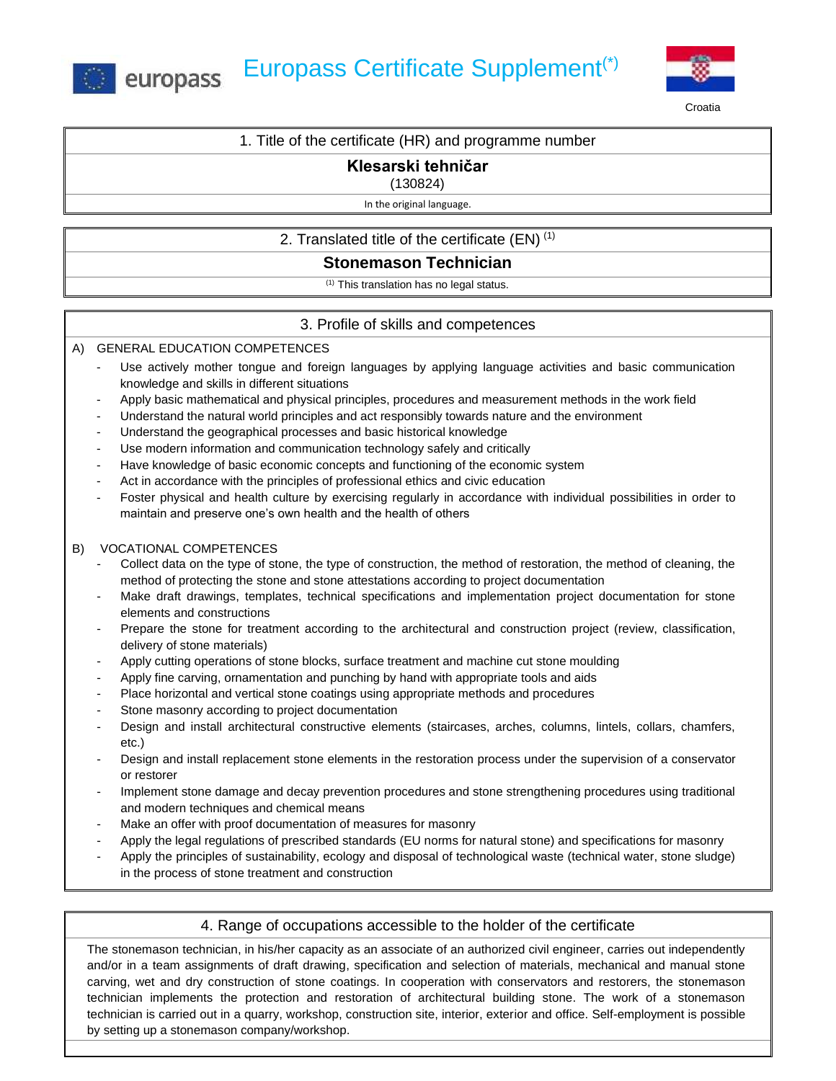



**Croatia** 

### 1. Title of the certificate (HR) and programme number

# **Klesarski tehničar**

#### (130824)

#### In the original language.

# 2. Translated title of the certificate  $(EN)^{(1)}$

# **Stonemason Technician**

 $(1)$  This translation has no legal status.

# 3. Profile of skills and competences

### A) GENERAL EDUCATION COMPETENCES

- Use actively mother tongue and foreign languages by applying language activities and basic communication knowledge and skills in different situations
- Apply basic mathematical and physical principles, procedures and measurement methods in the work field
- Understand the natural world principles and act responsibly towards nature and the environment
- Understand the geographical processes and basic historical knowledge
- Use modern information and communication technology safely and critically
- Have knowledge of basic economic concepts and functioning of the economic system
- Act in accordance with the principles of professional ethics and civic education
- Foster physical and health culture by exercising regularly in accordance with individual possibilities in order to maintain and preserve one's own health and the health of others

### B) VOCATIONAL COMPETENCES

- Collect data on the type of stone, the type of construction, the method of restoration, the method of cleaning, the method of protecting the stone and stone attestations according to project documentation
- Make draft drawings, templates, technical specifications and implementation project documentation for stone elements and constructions
- Prepare the stone for treatment according to the architectural and construction project (review, classification, delivery of stone materials)
- Apply cutting operations of stone blocks, surface treatment and machine cut stone moulding
- Apply fine carving, ornamentation and punching by hand with appropriate tools and aids
- Place horizontal and vertical stone coatings using appropriate methods and procedures
- Stone masonry according to project documentation
- Design and install architectural constructive elements (staircases, arches, columns, lintels, collars, chamfers, etc.)
- Design and install replacement stone elements in the restoration process under the supervision of a conservator or restorer
- Implement stone damage and decay prevention procedures and stone strengthening procedures using traditional and modern techniques and chemical means
- Make an offer with proof documentation of measures for masonry
- Apply the legal regulations of prescribed standards (EU norms for natural stone) and specifications for masonry
- Apply the principles of sustainability, ecology and disposal of technological waste (technical water, stone sludge) in the process of stone treatment and construction

# 4. Range of occupations accessible to the holder of the certificate

The stonemason technician, in his/her capacity as an associate of an authorized civil engineer, carries out independently and/or in a team assignments of draft drawing, specification and selection of materials, mechanical and manual stone carving, wet and dry construction of stone coatings. In cooperation with conservators and restorers, the stonemason technician implements the protection and restoration of architectural building stone. The work of a stonemason technician is carried out in a quarry, workshop, construction site, interior, exterior and office. Self-employment is possible by setting up a stonemason company/workshop.